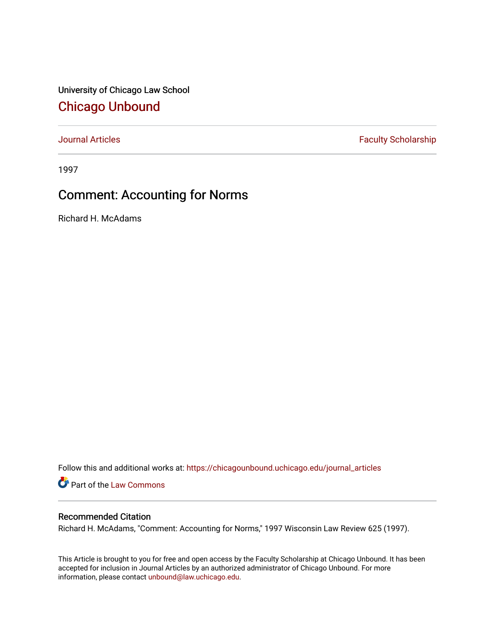University of Chicago Law School [Chicago Unbound](https://chicagounbound.uchicago.edu/)

[Journal Articles](https://chicagounbound.uchicago.edu/journal_articles) **Faculty Scholarship Faculty Scholarship** 

1997

# Comment: Accounting for Norms

Richard H. McAdams

Follow this and additional works at: [https://chicagounbound.uchicago.edu/journal\\_articles](https://chicagounbound.uchicago.edu/journal_articles?utm_source=chicagounbound.uchicago.edu%2Fjournal_articles%2F34&utm_medium=PDF&utm_campaign=PDFCoverPages) 

Part of the [Law Commons](http://network.bepress.com/hgg/discipline/578?utm_source=chicagounbound.uchicago.edu%2Fjournal_articles%2F34&utm_medium=PDF&utm_campaign=PDFCoverPages)

# Recommended Citation

Richard H. McAdams, "Comment: Accounting for Norms," 1997 Wisconsin Law Review 625 (1997).

This Article is brought to you for free and open access by the Faculty Scholarship at Chicago Unbound. It has been accepted for inclusion in Journal Articles by an authorized administrator of Chicago Unbound. For more information, please contact [unbound@law.uchicago.edu](mailto:unbound@law.uchicago.edu).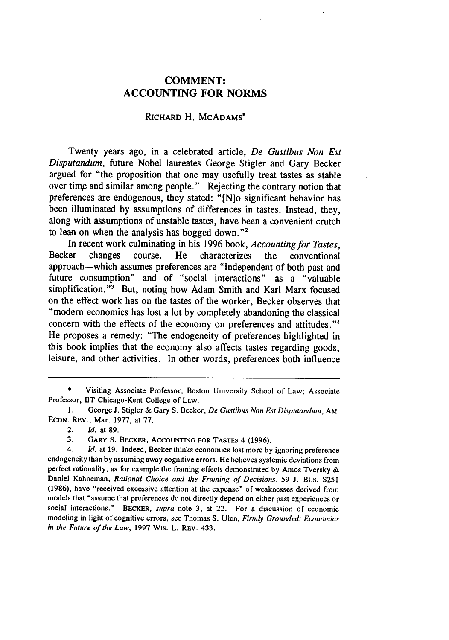## **COMMENT: ACCOUNTING FOR NORMS**

### RICHARD H. MCADAMS\*

Twenty years ago, in a celebrated article, *De Gustibus Non Est Disputandum,* future Nobel laureates George Stigler and Gary Becker argued for "the proposition that one may usefully treat tastes as stable over time and similar among people."' Rejecting the contrary notion that preferences are endogenous, they stated: "[N]o significant behavior has been illuminated **by** assumptions of differences in tastes. Instead, they, along with assumptions of unstable tastes, have been a convenient crutch to lean on when the analysis has bogged down."<sup>2</sup>

In recent work culminating in his **1996** book, *Accounting for Tastes,* Becker changes course. He characterizes the conventional approach-which assumes preferences are "independent of both past and future consumption" and of "social interactions"—as a "valuable simplification."<sup>3</sup> But, noting how Adam Smith and Karl Marx focused on the effect work has on the tastes of the worker, Becker observes that "modern economics has lost a lot **by** completely abandoning the classical concern with the effects of the economy on preferences and attitudes."<sup>4</sup> He proposes a remedy: "The endogeneity of preferences highlighted in this book implies that the economy also affects tastes regarding goods, leisure, and other activities. In other words, preferences both influence

**3.** GARY **S.** BECKER, ACCOUNTING FOR TASTES 4 (1996).

Visiting Associate Professor, Boston University School of Law; Associate Professor, **lIT** Chicago-Kent College of Law.

**<sup>1.</sup>** George **J.** Stigler & Gary S. Becker, *De Gustibus Non* Est *Disputanduin,* AM. **ECON.** REV., Mar. 1977, at 77.

**<sup>2.</sup>** *Id.* at **89.**

<sup>4.</sup> *Id.* at 19. Indeed, Becker thinks economics lost more **by** ignoring preference endogeneity than **by** assuming away cognitive errors. He believes systemic deviations from perfect rationality, as for example the framing effects demonstrated **by** Amos Tversky **&** Daniel Kahneman, *Rational Choice and the Framing of Decisions,* **59 J.** Bus. **S251 (1986),** have "received excessive attention at the expense" of weaknesses derived from models that "assume that preferences do not directly depend on either past experiences or social interactions." BECKER, *supra* note **3,** at 22. For a discussion of economic modeling in light of cognitive errors, see Thomas **S.** Ulen, *Firmly Grounded. Economics in* the Future of the Law, **1997 Wis.** L. REV. 433.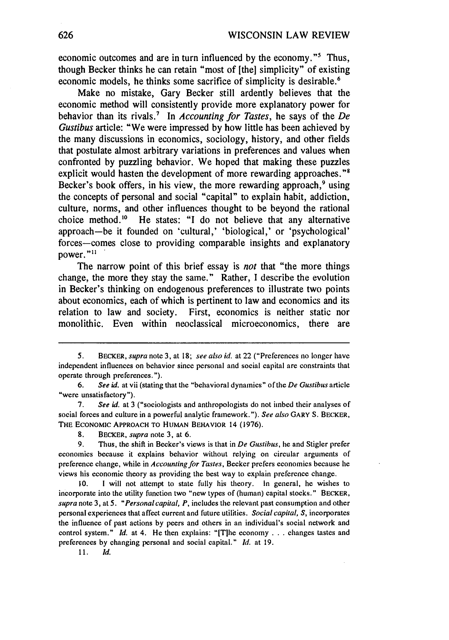economic outcomes and are in turn influenced by the economy."<sup>5</sup> Thus, though Becker thinks he can retain "most of **[the]** simplicity" of existing economic models, he thinks some sacrifice of simplicity is desirable.<sup>6</sup>

Make no mistake, Gary Becker still ardently believes that the economic method will consistently provide more explanatory power for behavior than its rivals." In *Accounting for Tastes,* he says of the *De Gustibus* article: "We were impressed **by** how little has been achieved **by** the many discussions in economics, sociology, history, and other fields that postulate almost arbitrary variations in preferences and values when confronted **by** puzzling behavior. We hoped that making these puzzles explicit would hasten the development of more rewarding approaches."<sup>8</sup> Becker's book offers, in his view, the more rewarding approach,<sup>9</sup> using the concepts of personal and social "capital" to explain habit, addiction, culture, norms, and other influences thought to be beyond the rational choice method.'" He states: **"I** do not believe that any alternative approach-be it founded on 'cultural,' 'biological,' or 'psychological' forces-comes close to providing comparable insights and explanatory power."<sup>11</sup>

The narrow point of this brief essay is *not* that "the more things change, the more they stay the same." Rather, **I** describe the evolution in Becker's thinking on endogenous preferences to illustrate two points about economics, each of which is pertinent to law and economics and its relation to law and society. First, economics is neither static nor monolithic. Even within neoclassical microeconomics, there are

11. **Id.**

*<sup>5.</sup>* BECKER, *supra* note 3, at 18; *see also id.* at 22 ("Preferences no longer have independent influences on behavior since personal and social capital are constraints that operate through preferences.").

<sup>6.</sup> *See id.* at vii (stating that the "behavioral dynamics" of the *De Gutstibus* article "were unsatisfactory").

<sup>7.</sup> *See id.* at 3 ("sociologists and anthropologists do not imbed their analyses of social forces and culture in a powerful analytic framework."). *See also* GARY **S.** BECKER, THE ECONOMIC APPROACH TO HUMAN BEHAVIOR 14 **(1976).**

**<sup>8.</sup>** BECKER, *supra* note 3, at 6.

<sup>9.</sup> Thus, the shift in Becker's views is that in  $De$  Gustibus, he and Stigler prefer economics because it explains behavior without relying on circular arguments of preference change, while in *Accounting for Tastes,* Becker prefers economics because he views his economic theory as providing **the** best way to explain preference change.

<sup>10.</sup> I will not attempt to state fully his theory. In general, he wishes to incorporate into the utility function two "new types of (human) capital stocks." BECKER, *supra* note 3, at *5. "Personal capital, P,* includes the relevant past consumption and other personal experiences that affect current and future utilities. *Social capital, S,* incorporates the influence of past actions **by** peers and others in an individual's social network and control system." *Id.* at 4. He then explains: "[Tlhe economy . **.** . changes tastes and preferences by changing personal and social capital." *Id.* at 19.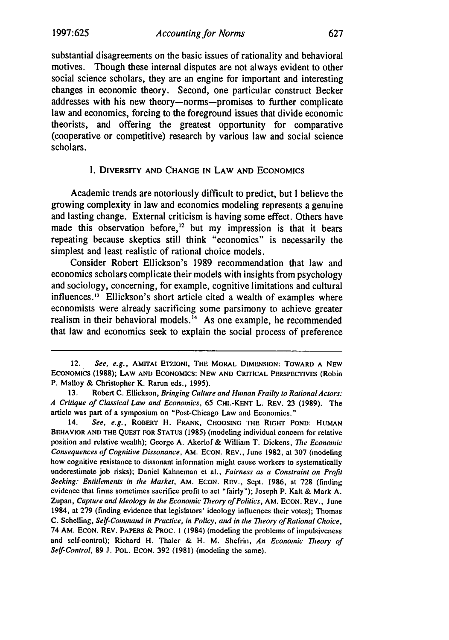substantial disagreements on the basic issues of rationality and behavioral motives. Though these internal disputes are not always evident to other social science scholars, they are an engine for important and interesting changes in economic theory. Second, one particular construct Becker addresses with his new theory-norms-promises to further complicate law and economics, forcing to the foreground issues that divide economic theorists, and offering the greatest opportunity for comparative (cooperative or competitive) research **by** various law and social science scholars.

#### **I.** DIVERSITY **AND** CHANGE **IN LAW AND ECONOMICS**

Academic trends are notoriously difficult to predict, but **I** believe the growing complexity in law and economics modeling represents a genuine and lasting change. External criticism is having some effect. Others have made this observation before,<sup>12</sup> but my impression is that it bears repeating because skeptics still think "economics" is necessarily the simplest and least realistic of rational choice models.

Consider Robert Ellickson's **1989** recommendation that law and economics scholars complicate their models with insights from psychology and sociology, concerning, for example, cognitive limitations and cultural influences.<sup>13</sup> Ellickson's short article cited a wealth of examples where economists were already sacrificing some parsimony to achieve greater realism in their behavioral models.<sup>14</sup> As one example, he recommended that law and economics seek to explain the social process of preference

<sup>12.</sup> *See, e.g.,* **AMITAI ETzIONI, THE MORAL DIMENSION: TOWARD A NEW ECONOMICS (1988);** LAW **AND ECONOMICS: NEW AND** CRITICAL PERSPECTIVES (Robin P. Malloy & Christopher K. Rarun eds., 1995).

**<sup>13.</sup>** Robert **C.** Ellickson, *Bringing Culture and Human Frailty to Rational Actors: A Critique of Classical Law and Economics,* 65 **CHI.-KENT** L. REV. 23 (1989). The article was part of a symposium on "Post-Chicago Law and Economics."

<sup>14.</sup> *See, e.g.,* ROBERT H. FRANK, **CHOOSING THE RIGHT POND: HUMAN** BEHAVIOR **AND** THE QUEST FOR **STATUS** (1985) (modeling individual concern for relative position and relative wealth); George A. Akerlof & William T. Dickens, *The Economic Consequences of Cognitive Dissonance,* AM. **ECON.** REV., June 1982, at 307 (modeling how cognitive resistance to dissonant information might cause workers to systematically underestimate job risks); Daniel Kahneman et al., *Fairness as a Constraint on Profit Seeking: Entitlements in the Market,* AM. ECON. REV., Sept. 1986, at 728 (finding evidence that firms sometimes sacrifice profit to act "fairly"); Joseph P. Kalt & Mark A. Zupan, *Capture and Ideology in the Economic 77Teory of Politics,* **AM. ECON.** REV., June 1984, at 279 (finding evidence that legislators' ideology influences their votes); Thomas C. Schelling, Self-Comnmand in *Practice, in Policy,* and in *the 7heory of Rational Choice,* 74 AM. ECON. REV. PAPERS & PROC. 1 (1984) (modeling the problems of impulsiveness and self-control); Richard H. Thaler & H. M. Shefrin, An Economic *77eory of* Self-Control, 89 J. POL. ECON. 392 (1981) (modeling the same).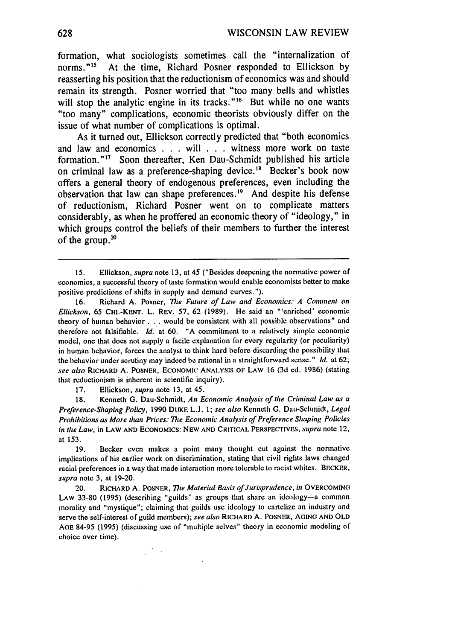formation, what sociologists sometimes call the "internalization of norms."<sup>15</sup> At the time, Richard Posner responded to Ellickson by reasserting his position that the reductionism of economics was and should remain its strength. Posner worried that "too many bells and whistles will stop the analytic engine in its tracks."<sup>16</sup> But while no one wants "too many" complications, economic theorists obviously differ on the issue of what number of complications is optimal.

As it turned out, Ellickson correctly predicted that "both economics and law and economics **. . .** will **. . .** witness more work on taste formation."<sup>17</sup> Soon thereafter, Ken Dau-Schmidt published his article on criminal law as a preference-shaping device.<sup>18</sup> Becker's book now offers a general theory of endogenous preferences, even including the observation that law can shape preferences.<sup>19</sup> And despite his defense of reductionism, Richard Posner went on to complicate matters considerably, as when he proffered an economic theory of "ideology," **in** which groups control the beliefs of their members to further the interest of the group. $^{20}$ 

16. Richard A. Posner, *The Future of Law and Economics: A Comment on Ellickson,* 65 **CHI.-KENT.** L. REV. 57, 62 (1989). He said an "'enriched' economic theory of human behavior **...** would be consistent with all possible observations" and therefore not falsifiable. *Id.* at 60. **"A** commitment to a relatively simple economic model, one that does not supply a facile explanation for every regularity (or peculiarity) in human behavior, forces the analyst to think hard before discarding the possibility that the behavior under scrutiny may indeed be rational in a straightforward sense." *Id.* at 62; *see also* RICHARD **A.** POSNER, ECONOMIC ANALYSIS **OF** LAW 16 (3d ed. 1986) (stating that reductionism is inherent in scientific inquiry).

17. Ellickson, *supra* note 13, at 45.

 $\mathcal{F}=\mathcal{F}$ 

**18.** Kenneth G. Dau-Schmidt, An Economic Analysis of *the* Criminal Law as a *Preference-Shaping Policy,* 1990 **DUKE** L.J. 1; *see also* Kenneth G. Dau-Schmidt, *Legal Prohibitions as* More than Prices: *The* Economic Analysis of *Preference Shaping Policies* in the *Law,* in LAW **AND** ECONOMICS: NEW AND CRITICAL PERSPECTIVES, *supra* note 12, at 153.

19. Becker even makes a point many thought cut against the normative implications of his earlier work on discrimination, stating that civil rights laws changed racial preferences in a way that made interaction more tolerable to racist whites. BECKER, *supra* note **3,** at 19-20.

**20.** RICHARD A. POSNER, *The Material Basis of Jurisprudence, in* OVERCOMING LAW 33-80 (1995) (describing "guilds" as groups that share an ideology-a common morality and "mystique"; claiming that guilds use ideology to cartelize an industry and serve the self-interest of guild members); *see* also RICHARD A. POSNER, **AGING** AND OLD AoE **84-95 (1995)** (discussing use of "multiple selves" theory in economic modeling of choice over time).

<sup>15.</sup> Ellickson, *supra* note 13, at 45 ("Besides deepening the normative power of economics, a successful theory of taste formation would enable economists better to make positive predictions of shifts in supply and demand curves.").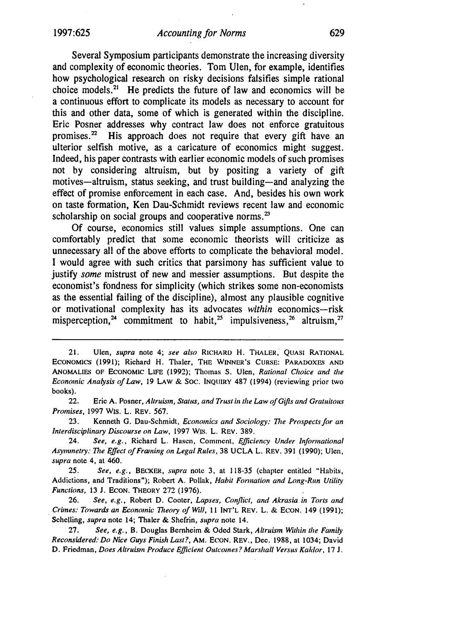Several Symposium participants demonstrate the increasing diversity and complexity of economic theories. Tom Ulen, for example, identifies how psychological research on risky decisions falsifies simple rational choice models.<sup>21</sup> He predicts the future of law and economics will be a continuous effort to complicate its models as necessary to account for this and other data, some of which is generated within the discipline. Eric Posner addresses why contract law does not enforce gratuitous promises. $2^2$  His approach does not require that every gift have an ulterior selfish motive, as a caricature of economics might suggest. Indeed, his paper contrasts with earlier economic models of such promises not by considering altruism, but by positing a variety of gift motives-altruism, status seeking, and trust building-and analyzing the effect of promise enforcement in each case. And, besides his own work on taste formation, Ken Dau-Schmidt reviews recent law and economic scholarship on social groups and cooperative norms. $^{23}$ 

Of course, economics still values simple assumptions. One can comfortably predict that some economic theorists will criticize as unnecessary all of the above efforts to complicate the behavioral model. I would agree with such critics that parsimony has sufficient value to justify *some* mistrust of new and messier assumptions. But despite the economist's fondness for simplicity (which strikes some non-economists as the essential failing of the discipline), almost any plausible cognitive or motivational complexity has its advocates *within* economics-risk misperception,<sup>24</sup> commitment to habit,<sup>25</sup> impulsiveness,<sup>26</sup> altruism,<sup>27</sup>

22. Eric A. Posner, Altruism, *Status, and Trust in the Law of Gifts and Gratuitous Promises,* 1997 Wis. L. REv. 567.

23. Kenneth G. Dau-Schmidt, Economics *and Sociology: The* Prospects for *an Interdisciplinary Discourse on Law,* 1997 WIS. L. REV. 389.

24. *See, e.g., Richard L. Hasen, Comment, Efficiency Under Informational Asymmetry: The Effect of Framing on* Legal Rules, 38 UCLA L. REV. **391** (1990); Ulen, supra note 4, at 460.

25. See, e.g., BECKER, supra note 3, at 118-35 (chapter entitled "Habits, Addictions, and Traditions"); Robert A. Pollak, Habit Formation and Long-Run Utility Functions, **13** J. **ECON.** THEORY 272 (1976).

26. See, e.g., Robert D. Cooter, Lapses, Conflict, and Akrasia in Torts and Crimes: Towards an Economic *Theory* of Will, 11 **INT'L** REV. L. & ECON. 149 (1991); Schelling, supra note 14; Thaler & Shefrin, supra note 14.

27. See, e.g., B. Douglas Bernheim & Oded Stark, Altruism Within the Family Reconsidered: Do Nice Guys Finish Last?, AM. **ECON.** REV., Dec. 1988, at 1034; David **D. Friedman,** Does Altruism Produce Efficient Outcomes? Marshall Versus Kaldor, **17 J.**

<sup>21.</sup> Ulen, *supra* note 4; *see also* RICHARD H. THALER, QUASI RATIONAL **ECONOMICS** (1991); Richard H. Thaler, THE **WINNER'S CURSE:** PARADOXES **AND** ANOMALIES OF **ECONOMIC LIFE** (1992); Thomas **S.** Ulen, *Rational Choice and the Economic Analysis* of *Law,* 19 LAW & SOC. INQUIRY 487 (1994) (reviewing prior two books).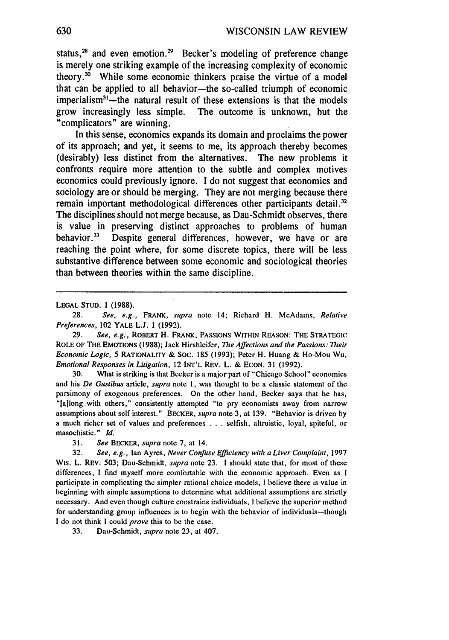status,<sup>28</sup> and even emotion.<sup>29</sup> Becker's modeling of preference change is merely one striking example of the increasing complexity of economic theory.<sup>30</sup> While some economic thinkers praise the virtue of a model that can be applied to all behavior-the so-called triumph of economic  $imperialism<sup>31</sup>$ -the natural result of these extensions is that the models grow increasingly less simple. The outcome is unknown, but the "complicators" are winning.

In this sense, economics expands its domain and proclaims the power of its approach; and yet, it seems to me, its approach thereby becomes (desirably) less distinct from the alternatives. The new problems it confronts require more attention to the subtle and complex motives economics could previously ignore. I do not suggest that economics and sociology are or should be merging. They are not merging because there remain important methodological differences other participants detail.<sup>32</sup> The disciplines should not merge because, as Dau-Schmidt observes, there is value in preserving distinct approaches to problems of human behavior.<sup>33</sup> Despite general differences, however, we have or are reaching the point where, for some discrete topics, there will be less substantive difference between some economic and sociological theories than between theories within the same discipline.

**LEGAL STUD.** 1 **(1988).**

**29.** *See,* e.g., ROBERT H. FRANK, **PASSIONS** WITHIN **REASON:** THE STRATEGIC ROLE OF **THE EMOTIONS** (1988); Jack Hirshleifer, *The Affections and the Passions: Their Economic Logic, 5* RATIONALITY & SOC. 185 (1993); Peter H. Huang & Ho-Mou Wu, *Emotional Responses in Litigation,* 12 INT'L REV. L. & ECON. 31 (1992).

30. What is striking is that Becker is a major part of "Chicago School" economics and his *De Gustibus* article, *supra* note 1, was thought to be a classic statement of the parsimony of exogenous preferences. On the other hand, Becker says that he has, "[a]long with others," consistently attempted "to pry economists away from narrow assumptions about self interest." BECKER, *supra* note 3, at 139. "Behavior is driven by a much richer set of values and preferences . . . selfish, altruistic, loyal, spiteful, or masochistic." *Id.*

**31.** *See* BECKER, *supra* note 7, at 14.

32. *See, e.g.,* Ian Ayres, *Never Confuse Efficiency with a Liver Complaint,* 1997 Wis. L. REV. 503; Dau-Schmidt, *supra* note 23. 1 should state that, for most of these differences, I find myself more comfortable with the economic approach. Even as I participate in complicating the simpler rational choice models, I believe there is value in beginning with simple assumptions to determine what additional assumptions are strictly necessary. And even though culture constrains individuals, I believe the superior method for understanding group influences is to begin with the behavior of individuals-though **I** do not think I could *prove* this to be the case.

33. Dau-Schmidt, *supra* note 23, at 407.

**<sup>28.</sup>** *See, e.g.,* FRANK, supra note 14; Richard H. McAdams, Relative *Preferences,* 102 YALE L.J. 1 (1992).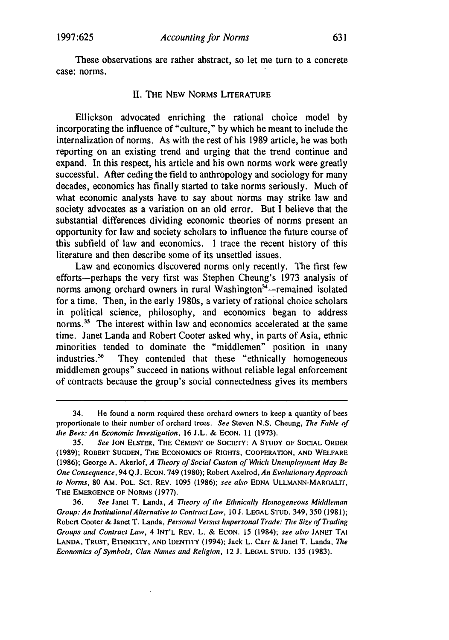These observations are rather abstract, so let me turn to a concrete case: norms.

#### II. THE NEW NORMS LITERATURE

Ellickson advocated enriching the rational choice model by incorporating the influence of "culture," by which he meant to include the internalization of norms. As with the rest of his 1989 article, he was both reporting on an existing trend and urging that the trend continue and expand. In this respect, his article and his own norms work were greatly successful. After ceding the field to anthropology and sociology for many decades, economics has finally started to take norms seriously. Much of what economic analysts have to say about norms may strike law and society advocates as a variation on an old error. But I believe that the substantial differences dividing economic theories of norms present an opportunity for law and society scholars to influence the future course of this subfield of law and economics. I trace the recent history of this literature and then describe some of its unsettled issues.

Law and economics discovered norms only recently. The first few efforts-perhaps the very first was Stephen Cheung's 1973 analysis of norms among orchard owners in rural Washington $34$ -remained isolated for a time. Then, in the early 1980s, a variety of rational choice scholars in political science, philosophy, and economics began to address norms.<sup>35</sup> The interest within law and economics accelerated at the same time. Janet Landa and Robert Cooter asked why, in parts of Asia, ethnic minorities tended to dominate the "middlemen" position in many industries.<sup>36</sup> They contended that these "ethnically homogeneous middlemen groups" succeed in nations without reliable legal enforcement of contracts because the group's social connectedness gives its members

<sup>34.</sup> He found a norm required these orchard owners to keep a quantity of bees proportionate to their number of orchard trees. See Steven **N.S.** Cheung, *The* Fable of *the Bees: An Economic Investigation,* **16** J.L. & **ECON.** 11 (1973).

<sup>35.</sup> *See* **JON** ELSTER, **THE CEMENT** OF SOCIETY: **A STUDY** OF SOCIAL ORDER (1989); ROBERT **SUGDEN, THE ECONOMICS** OF RIGHTS, COOPERATION, **AND** WELFARE (1986); George A. Akerlof, A *7heory* of Social Custom of *Which* Unemployment May Be One Consequence, 94 Q.J. **ECON.** 749 (1980); Robert Axelrod, An Evolutionary Approach *to Norms,* **80 AM.** POL. **SCI.** REV. 1095 (1986); see *also* EDNA **ULLMANN-MARGALrI, THE EMERGENCE** OF NORMS (1977).

<sup>36.</sup> *See* Janet T. Landa, *A Theory of* the Ethnically Homogeneous Middleman *Group: An InstitutionalAlternative to Contract Law,* **10 J. LEGAL STUD.** 349, **350 (1981);** Robert Cooter & Janet T. Landa, *Personal Versts hnpersonal Trade: The Size of Trading Groups and Contract Law,* 4 **INT'L** REV. L. **& ECON. 15** (1984); *see also* **JANET TAI LANDA, TRUST, ETHNICITY, AND IDENTITY** (1994); Jack L. Carr & Janet T. Landa, *The Economics of Symbols, Clan Names and Religion,* 12 **J. LEGAL** STUD. **135 (1983).**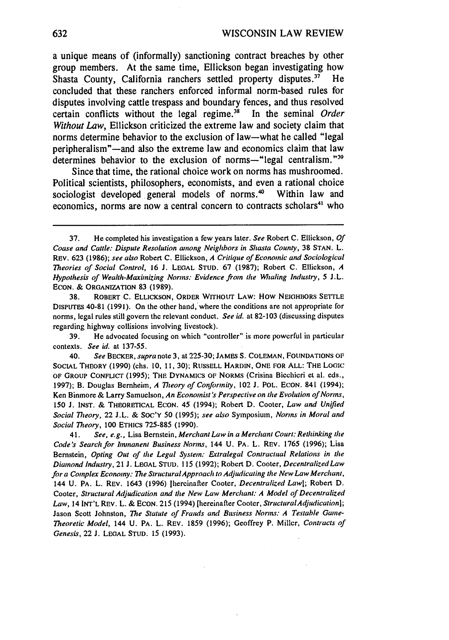a unique means of (informally) sanctioning contract breaches **by** other group members. At the same time, Ellickson began investigating how Shasta County, California ranchers settled property disputes.<sup>37</sup> He concluded that these ranchers enforced informal norm-based rules for disputes involving cattle trespass and boundary fences, and thus resolved certain conflicts without the legal regime.<sup>38</sup> In the seminal Order *Without Law,* Ellickson criticized the extreme law and society claim that norms determine behavior to the exclusion of law-what he called "legal peripheralism"-and also the extreme law and economics claim that law determines behavior to the exclusion of norms—"legal centralism." $39$ 

Since that time, the rational choice work on norms has mushroomed. Political scientists, philosophers, economists, and even a rational choice sociologist developed general models of norms.<sup>40</sup> Within law and economics, norms are now a central concern to contracts scholars<sup>41</sup> who

38. ROBERT **C.** ELLICKSON, ORDER WITHOUT LAW: How NEIGHBORS SETTLE DISPUTES 40-81 (1991). On the other hand, where the conditions are not appropriate for norms, legal rules still govern the relevant conduct. *See id.* at 82-103 (discussing disputes regarding highway collisions involving livestock).

39. He advocated focusing on which "controller" is more powerful in particular contexts. *See* id. at 137-55.

40. *See* BECKER, *supra* note 3, at 225-30; **JAMES S.** COLEMAN, FOUNDATIONS OF SOCIAL THEORY (1990) (chs. 10, 11, 30); RUSSELL HARDIN, ONE FOR ALL: THE LOGIC OF GROUP CONFLICT (1995); THE DYNAMICS OF NORMS (Crisina Bicehicri et al. eds., 1997); B. Douglas Bernheim, *A Theory of Conformity,* 102 **J.** POL. ECON. 841 (1994); Ken Binmore & Larry Samuelson, *An Economist's Perspective on* the *Evolution of Norms,* 150 **J.** INST. & THEORETICAL ECON. 45 (1994); Robert D. Cooter, *Law and Unified Social Theory,* 22 J.L. & Soc'Y 50 (1995); *see also* Symposium, *Normns in Moral and Social Theory,* 100 ETHICS 725-885 (1990).

41. *See, e.g.,* Lisa Bernstein, *Merchant Law in a Merchant Court: Rethinking* the *Code's Search for mnanent Business Norms,* 144 U. PA. L. REV. 1765 (1996); Lisa Bernstein, *Opting Out of the Legal System: Extralegal Contractual Relations in the Diamond Industry,* 21 **J.** LEGAL STUD. 115 (1992); Robert D. Cooter, *Decentralized Law for a Complex Economy: The Structural Approach to Adjudicating* the *New Law Merchant,* 144 U. PA. L. REV. 1643 (1996) [hereinafter Cooter, *Decentralized Law];* Robert D. Cooter, *Structural Adjudication and the New Law Merchant: A Model of Decentralized Law,* 14 INT'L REV. L. & ECON. 215 (1994) [hereinafter Cooter, *StructuralAdjudication];* Jason Scott Johnston, *The Statute of Frauds and Business Norms: A Testable Game-Theoretic Model,* 144 U. PA. L. REV. 1859 (1996); Geoffrey P. Miller, *Contracts of Genesis,* 22 **J.** LEGAL STUD. 15 (1993).

<sup>37.</sup> He completed his investigation a few years later. *See* Robert C. Ellickson, *Of Coase and Cattle: Dispute Resolution anong Neighbors in Shasta County,* 38 **STAN.** L. REV. 623 (1986); *see also* Robert C. Ellickson, *A Critique of Economic and Sociological Theories of Social Control,* 16 **J.** LEGAL STUD. 67 (1987); Robert C. Ellickson, *A Hypothesis of Wealth-Maximizing Norms: Evidence from the Whaling Industry, 5* J.L. ECON. & ORGANIZATION 83 (1989).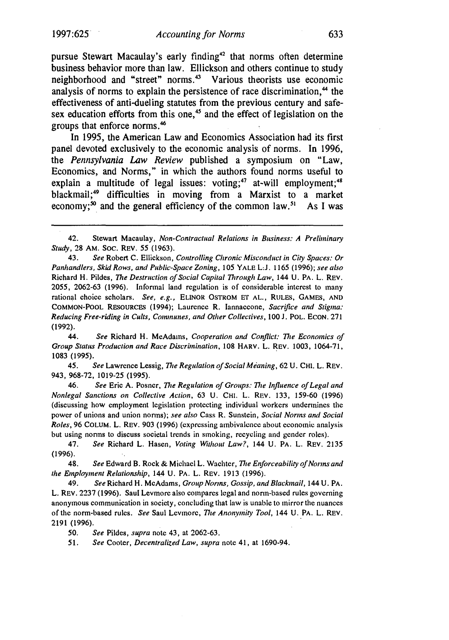pursue Stewart Macaulay's early finding<sup>42</sup> that norms often determine business behavior more than law. Ellickson and others continue to study neighborhood and "street" norms.<sup>43</sup> Various theorists use economic analysis of norms to explain the persistence of race discrimination,<sup>44</sup> the effectiveness of anti-dueling statutes from the previous century and safesex education efforts from this one,<sup>45</sup> and the effect of legislation on the groups that enforce norms.<sup>46</sup>

In **1995,** the American Law and Economics Association had its first panel devoted exclusively to the economic analysis of norms. In **1996,** the *Pennsylvania Law Review* published a symposium on "Law, Economics, and Norms," in which the authors found norms useful to explain a multitude of legal issues: voting;<sup>47</sup> at-will employment;<sup>41</sup> blackmail;49 difficulties in moving from a Marxist to a market economy;<sup>50</sup> and the general efficiency of the common law.<sup>51</sup> As I was

44. *See* Richard H. McAdams, *Cooperation and Conflict: The Economics of Group Status Production and Race Discrinination,* 108 HARV. L. REV. 1003, 1064-71, 1083 (1995).

45. *See* Lawrence Lessig, *The Regulation of Social Meaning,* 62 U. CHI. L. REV. 943, 968-72, 1019-25 (1995).

46. See Eric A. Posner, *The Regulation of Groups: The Influence of Legal and* Nonlegal *Sanctions* on Collective Action, **63 U.** CHI. L. REV. 133, 159-60 (1996) (discussing how employment legislation protecting individual workers undermines the power of unions and union norms); *see also* Cass R. Sunstein, *Social Norins and Social Roles,* 96 COLUM. L. REV. 903 (1996) (expressing ambivalence about economic analysis but using norms to discuss societal trends in smoking, recycling and gender roles).

48. See Edward B. Rock & Michael L. Wachter, *The Enforceability of Norns and the* Employment *Relationship,* 144 U. PA. L. REV. 1913 (1996).

49. *See* Richard H. McAdams, Group *Noris,* Gossip, *and Blackmail,* 144 U. PA. L. REV. 2237 (1996). Saul Levmore also compares legal and norm-based rules governing anonymous communication in society, concluding that law is unable to mirror the nuances of the norm-based rules. *See* Saul Levinore, *The Anonymity Tool,* 144 U. PA. L. REV. **2191 (1996).**

50. See Pildes, *supra* note 43, at 2062-63.

51. See Cooter, Decentralized Law, supra note 41, at 1690-94.

<sup>42.</sup> Stewart Macaulay, *Non-Contractual Relations in Business: A Preliminary Study,* 28 AM. Soc. REV. **55 (1963).**

<sup>43.</sup> *See* Robert **C.** Ellickson, *Controlling Chronic Misconduct in City Spaces.: Or* Panhandlers, Skid Rows, and Public-Space Zoning, 105 YALE **LJ.** 1165 (1996); see also Richard H. Pildes, The Destruction of Social Capital *Through* Law, 144 U. PA. L. REV. 2055, 2062-63 (1996). Informal land regulation is of considerable interest to many rational choice scholars. *See, e.g.,* ELINOR OSTROM ET AL., RULES, GAMES, AND COMMON-POOL RESOURCES (1994); Laurence R. lannaccone, *Sacrifice and Stigma:* Reducing *Free-riding in Cults, Communes, and Other Collectives,* 100 J. POL. **ECON.** 271 (1992).

<sup>47.</sup> *See* Richard L. Hasen, *Voting Without Law?,* 144 U. PA. L. REV. 2135 (1996).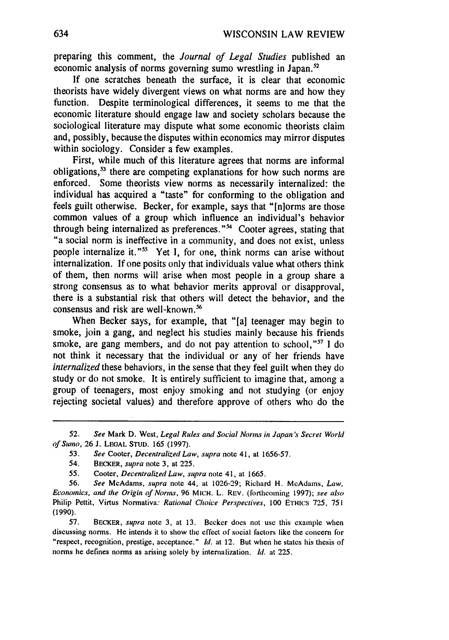preparing this comment, the *Journal of Legal Studies* published an economic analysis of norms governing sumo wrestling in Japan.<sup>52</sup>

If one scratches beneath the surface, it is clear that economic theorists have widely divergent views on what norms are and how they function. Despite terminological differences, it seems to me that the economic literature should engage law and society scholars because the sociological literature may dispute what some economic theorists claim and, possibly, because the disputes within economics may mirror disputes within sociology. Consider a few examples.

First, while much of this literature agrees that norms are informal obligations,<sup>53</sup> there are competing explanations for how such norms are enforced. Some theorists view norms as necessarily internalized: the individual has acquired a "taste" for conforming to the obligation and feels guilt otherwise. Becker, for example, says that "[n]orms are those common values of a group which influence an individual's behavior through being internalized as preferences."<sup>54</sup> Cooter agrees, stating that "a social norm is ineffective in a community, and does not exist, unless people internalize it."<sup>55</sup> Yet I, for one, think norms can arise without internalization. If one posits only that individuals value what others think of them, then norms will arise when most people in a group share a strong consensus as to what behavior merits approval or disapproval, there is a substantial risk that others will detect the behavior, and the consensus and risk are well-known.<sup>56</sup>

When Becker says, for example, that "[a] teenager may begin to smoke, join a gang, and neglect his studies mainly because his friends smoke, are gang members, and do not pay attention to school,"<sup>57</sup> I do not think it necessary that the individual or any of her friends have *internalized* these behaviors, in the sense that they feel guilt when they do study or do not smoke. It is entirely sufficient to imagine that, among a group of teenagers, most enjoy smoking and not studying (or enjoy rejecting societal values) and therefore approve of others who do the

<sup>52.</sup> See Mark D. West, Legal Rules and Social Norns in Japan's Secret World of Stwno, 26 **J.** LEGAL **STUD.** 165 (1997).

**<sup>53.</sup>** See Cooter, Decentralized Law, supra note 41, at 1656-57.

<sup>54.</sup> BECKER, supra note 3, at 225.

<sup>55.</sup> Cooter, Decentralized Law, supra note 41, at 1665.

<sup>56.</sup> See McAdams, supra note 44, at 1026-29; Richard H. McAdams, Law, Economics, and the Origin of Norns, **96** MICH. L. REV. (forthcoming 1997); see also Philip Pettit, Virtus Normativa: Rational *Choice* Perspectives, **100** ETHICS 725, 751 **(1990).**

<sup>57.</sup> BECKER, supra note 3, at 13. Becker does not use this example when discussing norms. He intends it to show the effect of social factors like the concern for "respect, recognition, prestige, acceptance." *Id.* at 12. But when he states his thesis of norms he defines norms **as** arising solely by internalization. *id.* at 225.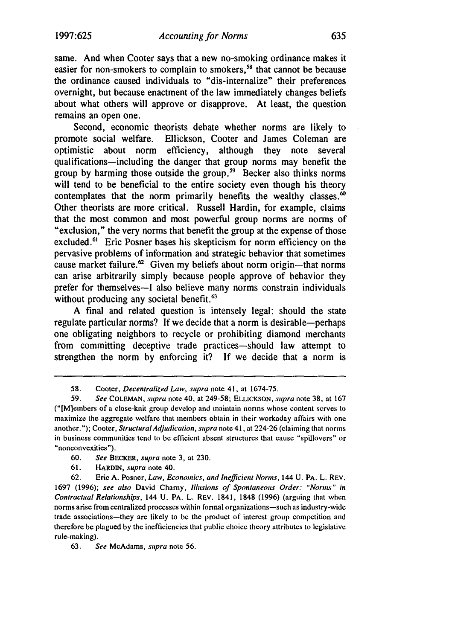same. And when Cooter says that a new no-smoking ordinance makes it easier for non-smokers to complain to smokers,<sup>58</sup> that cannot be because the ordinance caused individuals to "dis-internalize" their preferences overnight, but because enactment of the law immediately changes beliefs about what others will approve or disapprove. At least, the question remains an open one.

Second, economic theorists debate whether norms are likely to promote social welfare. Ellickson, Cooter and James Coleman are optimistic about norm efficiency, although they note several qualifications-including the danger that group norms may benefit the group by harming those outside the group.<sup>59</sup> Becker also thinks norms will tend to be beneficial to the entire society even though his theory contemplates that the norm primarily benefits the wealthy classes. $\frac{1}{10}$ Other theorists are more critical. Russell Hardin, for example, claims that the most common and most powerful group norms are norms of "exclusion," the very norms that benefit the group at the expense of those excluded.<sup>61</sup> Eric Posner bases his skepticism for norm efficiency on the pervasive problems of information and strategic behavior that sometimes cause market failure.<sup>62</sup> Given my beliefs about norm origin—that norms can arise arbitrarily simply because people approve of behavior they prefer for themselves-I also believe many norms constrain individuals without producing any societal benefit. $<sup>63</sup>$ </sup>

A final and related question is intensely legal: should the state regulate particular norms? If we decide that a norm is desirable—perhaps one obligating neighbors to recycle or prohibiting diamond merchants from committing deceptive trade practices-should law attempt to strengthen the norm by enforcing it? If we decide that a norm is

61. HARDIN, supra note 40.

**62.** Eric A. Posner, Law, Economics, and Inefficient Norms, 144 U. PA. L. REV. 1697 (1996); see also David Charny, Illusions of Spontaneous Order: *"Norins"* in *Contractual* Relationships, 144 U. PA. L. REV. 1841, 1848 (1996) (arguing that when norms arise from centralized processes within formal organizations-such as industry-wide trade associations-they are likely to be the product of interest group competition and therefore be plagued by the inefficiencies that public choice theory attributes to legislative rule-making).

63. See McAdams, supra note 56.

**<sup>58.</sup>** Cooter, Decentralized *Law, supra* note 41, at 1674-75.

<sup>59.</sup> See COLEMAN, supra note 40, at 249-58; ELLICKSON, supra note 38, at 167 ("rM]embers of a close-knit group develop and maintain norms whose content serves to maximize the aggregate welfare that members obtain in their workaday affairs with one another."); Cooter, *Structural Adjudication, supra* note 41, at 224-26 (claiming that norms in business communities tend to be efficient absent structures that cause "spillovers" or "nonconvexities").

<sup>60.</sup> **See** BECKER, supra note 3, at 230.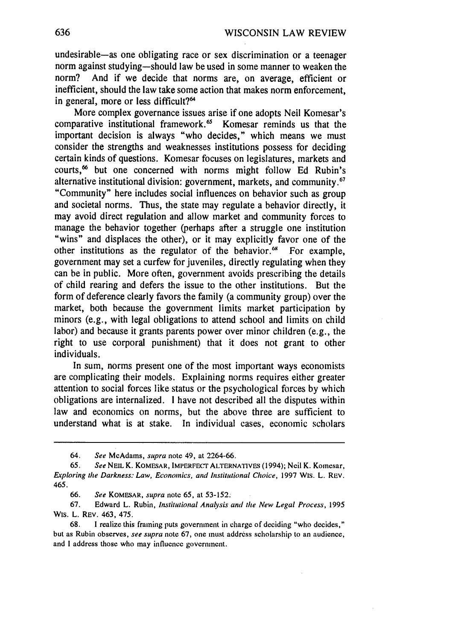undesirable-as one obligating race or sex discrimination or a teenager norm against studying-should law be used in some manner to weaken the norm? And if we decide that norms are, on average, efficient or inefficient, should the law take some action that makes norm enforcement, in general, more or less difficult?<sup>64</sup>

More complex governance issues arise if one adopts Neil Komesar's comparative institutional framework.<sup>65</sup> Komesar reminds us that the important decision is always "who decides," which means we must consider the strengths and weaknesses institutions possess for deciding certain kinds of questions. Komesar focuses on legislatures, markets and courts,<sup>66</sup> but one concerned with norms might follow Ed Rubin's alternative institutional division: government, markets, and community.67 "Community" here includes social influences on behavior such as group and societal norms. Thus, the state may regulate a behavior directly, it may avoid direct regulation and allow market and community forces to manage the behavior together (perhaps after a struggle one institution "wins" and displaces the other), or it may explicitly favor one of the other institutions as the regulator of the behavior.<sup>68</sup> For example, government may set a curfew for juveniles, directly regulating when they can be in public. More often, government avoids prescribing the details of child rearing and defers the issue to the other institutions. But the form of deference clearly favors the family (a community group) over the market, both because the government limits market participation by minors (e.g., with legal obligations to attend school and limits on child labor) and because it grants parents power over minor children (e.g., the right to use corporal punishment) that it does not grant to other individuals.

In sum, norms present one of the most important ways economists are complicating their models. Explaining norms requires either greater attention to social forces like status or the psychological forces by which obligations are internalized. I have not described all the disputes within law and economics on norms, but the above three are sufficient to understand what is at stake. In individual cases, economic scholars

<sup>64.</sup> *See* McAdams, supra note 49, at 2264-66.

**<sup>65.</sup>** *See* NEIL K. KOMESAR, **IMPERFECT ALTERNATIVES** (1994); Neil K. Komesar, *Exploring the Darkness: Law, Economics, and Institutional Choice,* **1997** Wis. L. **REV.** 465.

**<sup>66.</sup>** *See* KOMESAR, supra note 65, at 53-152.

<sup>67.</sup> Edward L. Rubin, *Institutional Analysis and the New Legal Process,* **1995** Wis. L. REV. 463, 475.

<sup>68.</sup> **1** realize this framing puts government in charge of deciding "who decides," but as Rubin observes, *see supra* note 67, one must address scholarship to an audience, and I address those who may influence government.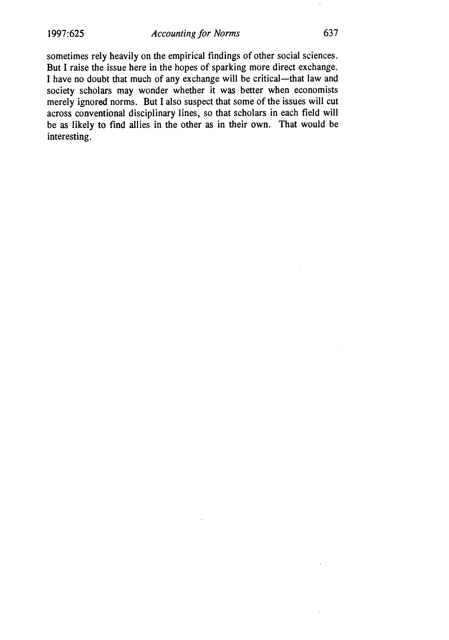sometimes rely heavily on the empirical findings of other social sciences. But I raise the issue here in the hopes of sparking more direct exchange. I have no doubt that much of any exchange will be critical-that law and society scholars may wonder whether it was better when economists merely ignored norms. But I also suspect that some of the issues will cut across conventional disciplinary lines, so that scholars in each field will be as likely to find allies in the other as in their own. That would be interesting.